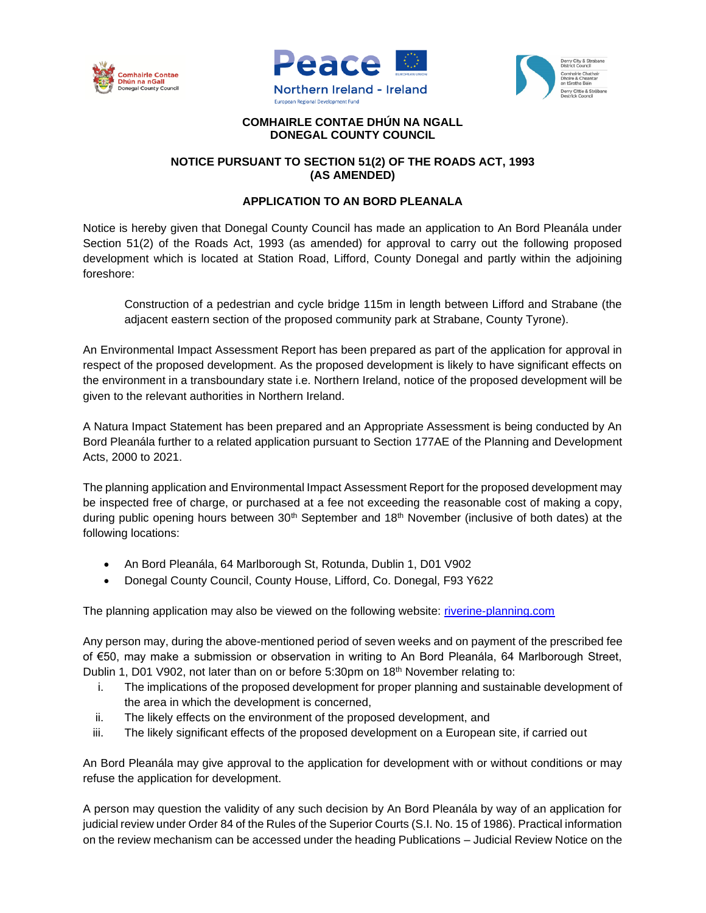





## **COMHAIRLE CONTAE DHÚN NA NGALL DONEGAL COUNTY COUNCIL**

## **NOTICE PURSUANT TO SECTION 51(2) OF THE ROADS ACT, 1993 (AS AMENDED)**

## **APPLICATION TO AN BORD PLEANALA**

Notice is hereby given that Donegal County Council has made an application to An Bord Pleanála under Section 51(2) of the Roads Act, 1993 (as amended) for approval to carry out the following proposed development which is located at Station Road, Lifford, County Donegal and partly within the adjoining foreshore:

Construction of a pedestrian and cycle bridge 115m in length between Lifford and Strabane (the adjacent eastern section of the proposed community park at Strabane, County Tyrone).

An Environmental Impact Assessment Report has been prepared as part of the application for approval in respect of the proposed development. As the proposed development is likely to have significant effects on the environment in a transboundary state i.e. Northern Ireland, notice of the proposed development will be given to the relevant authorities in Northern Ireland.

A Natura Impact Statement has been prepared and an Appropriate Assessment is being conducted by An Bord Pleanála further to a related application pursuant to Section 177AE of the Planning and Development Acts, 2000 to 2021.

The planning application and Environmental Impact Assessment Report for the proposed development may be inspected free of charge, or purchased at a fee not exceeding the reasonable cost of making a copy, during public opening hours between 30<sup>th</sup> September and 18<sup>th</sup> November (inclusive of both dates) at the following locations:

- An Bord Pleanála, 64 Marlborough St, Rotunda, Dublin 1, D01 V902
- Donegal County Council, County House, Lifford, Co. Donegal, F93 Y622

The planning application may also be viewed on the following website: [riverine-planning.com](http://riverine-planning.com/)

Any person may, during the above-mentioned period of seven weeks and on payment of the prescribed fee of €50, may make a submission or observation in writing to An Bord Pleanála, 64 Marlborough Street, Dublin 1, D01 V902, not later than on or before 5:30pm on 18<sup>th</sup> November relating to:

- i. The implications of the proposed development for proper planning and sustainable development of the area in which the development is concerned,
- ii. The likely effects on the environment of the proposed development, and
- iii. The likely significant effects of the proposed development on a European site, if carried out

An Bord Pleanála may give approval to the application for development with or without conditions or may refuse the application for development.

A person may question the validity of any such decision by An Bord Pleanála by way of an application for judicial review under Order 84 of the Rules of the Superior Courts (S.I. No. 15 of 1986). Practical information on the review mechanism can be accessed under the heading Publications – Judicial Review Notice on the